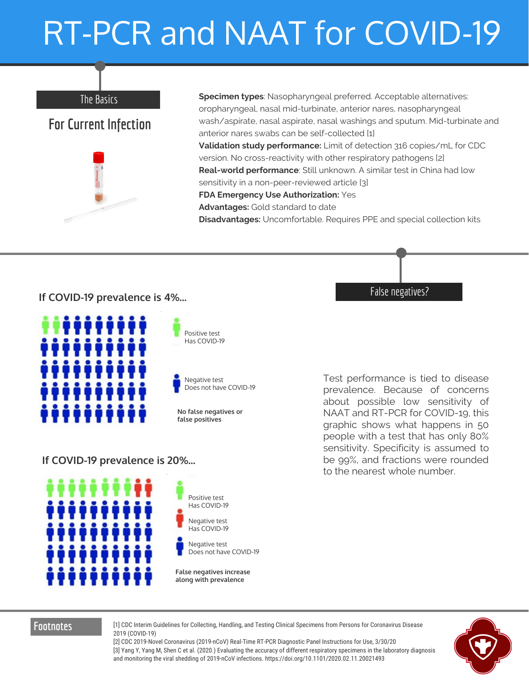# RT-PCR and NAAT for COVID-19

#### The Basics

### **For Current Infection**



**Specimen types**: Nasopharyngeal preferred. Acceptable alternatives: oropharyngeal, nasal mid-turbinate, anterior nares, nasopharyngeal wash/aspirate, nasal aspirate, nasal washings and sputum. Mid-turbinate and anterior nares swabs can be self-collected [1] **Validation study performance:** Limit of detection 316 copies/mL for CDC version. No cross-reactivity with other respiratory pathogens [2] **Real-world performance**: Still unknown. A similar test in China had low sensitivity in a non-peer-reviewed article [3] **FDA Emergency Use Authorization:** Yes **Advantages:** Gold standard to date **Disadvantages:** Uncomfortable. Requires PPE and special collection kits

#### **If COVID-19 prevalence is 4%...**



Positive test Has COVID-19



**No false negatives or false positives**

If COVID-19 prevalence is 20%...



Test performance is tied to disease prevalence. Because of concerns about possible low sensitivity of NAAT and RT-PCR for COVID-19, this graphic shows what happens in 50 people with a test that has only 80% sensitivity. Specificity is assumed to be 99%, and fractions were rounded to the nearest whole number.

False negatives?

Has COVID-19 Negative test COVID-19 Has COVID-19 Positive test Negative test

Does not have COVID-19

**False negatives increase along with prevalence**

**Footnotes** [1] CDC Interim Guidelines for Collecting, Handling, and Testing Clinical Specimens from Persons for Coronavirus Disease 2019 (COVID-19)

[2] CDC 2019-Novel Coronavirus (2019-nCoV) Real-Time RT-PCR Diagnostic Panel Instructions for Use, 3/30/20 [3] Yang Y, Yang M, Shen C et al. (2020.) Evaluating the accuracy of different respiratory specimens in the laboratory diagnosis and monitoring the viral shedding of 2019-nCoV infections. https://doi.org/10.1101/2020.02.11.20021493